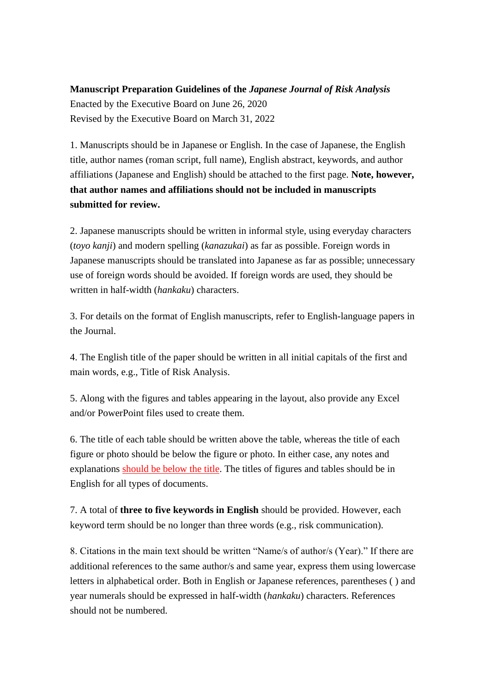## **Manuscript Preparation Guidelines of the** *Japanese Journal of Risk Analysis* Enacted by the Executive Board on June 26, 2020 Revised by the Executive Board on March 31, 2022

1. Manuscripts should be in Japanese or English. In the case of Japanese, the English title, author names (roman script, full name), English abstract, keywords, and author affiliations (Japanese and English) should be attached to the first page. **Note, however, that author names and affiliations should not be included in manuscripts submitted for review.**

2. Japanese manuscripts should be written in informal style, using everyday characters (*toyo kanji*) and modern spelling (*kanazukai*) as far as possible. Foreign words in Japanese manuscripts should be translated into Japanese as far as possible; unnecessary use of foreign words should be avoided. If foreign words are used, they should be written in half-width (*hankaku*) characters.

3. For details on the format of English manuscripts, refer to English-language papers in the Journal.

4. The English title of the paper should be written in all initial capitals of the first and main words, e.g., Title of Risk Analysis.

5. Along with the figures and tables appearing in the layout, also provide any Excel and/or PowerPoint files used to create them.

6. The title of each table should be written above the table, whereas the title of each figure or photo should be below the figure or photo. In either case, any notes and explanations should be below the title. The titles of figures and tables should be in English for all types of documents.

7. A total of **three to five keywords in English** should be provided. However, each keyword term should be no longer than three words (e.g., risk communication).

8. Citations in the main text should be written "Name/s of author/s (Year)." If there are additional references to the same author/s and same year, express them using lowercase letters in alphabetical order. Both in English or Japanese references, parentheses ( ) and year numerals should be expressed in half-width (*hankaku*) characters. References should not be numbered.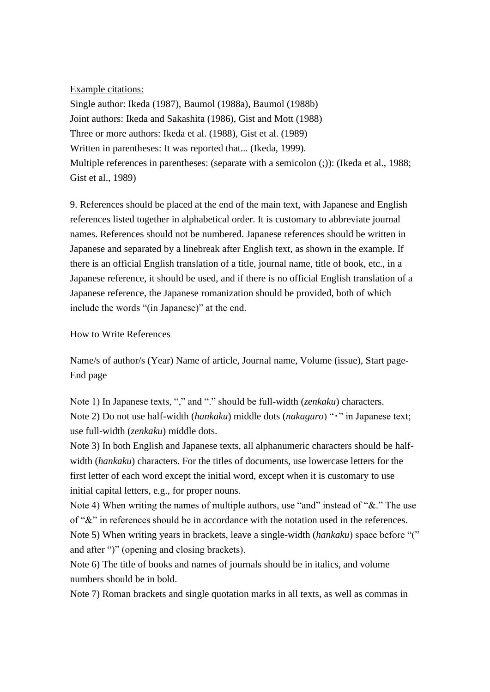## Example citations:

Single author: Ikeda (1987), Baumol (1988a), Baumol (1988b) Joint authors: Ikeda and Sakashita (1986), Gist and Mott (1988) Three or more authors: Ikeda et al. (1988), Gist et al. (1989) Written in parentheses: It was reported that... (Ikeda, 1999). Multiple references in parentheses: (separate with a semicolon (;)): (Ikeda et al., 1988; Gist et al., 1989)

9. References should be placed at the end of the main text, with Japanese and English references listed together in alphabetical order. It is customary to abbreviate journal names. References should not be numbered. Japanese references should be written in Japanese and separated by a linebreak after English text, as shown in the example. If there is an official English translation of a title, journal name, title of book, etc., in a Japanese reference, it should be used, and if there is no official English translation of a Japanese reference, the Japanese romanization should be provided, both of which include the words "(in Japanese)" at the end.

## How to Write References

Name/s of author/s (Year) Name of article, Journal name, Volume (issue), Start page-End page

Note 1) In Japanese texts, "," and "." should be full-width (*zenkaku*) characters. Note 2) Do not use half-width (*hankaku*) middle dots (*nakaguro*) "・" in Japanese text; use full-width (*zenkaku*) middle dots.

Note 3) In both English and Japanese texts, all alphanumeric characters should be halfwidth (*hankaku*) characters. For the titles of documents, use lowercase letters for the first letter of each word except the initial word, except when it is customary to use initial capital letters, e.g., for proper nouns.

Note 4) When writing the names of multiple authors, use "and" instead of "&." The use of "&" in references should be in accordance with the notation used in the references. Note 5) When writing years in brackets, leave a single-width (*hankaku*) space before "(" and after ")" (opening and closing brackets).

Note 6) The title of books and names of journals should be in italics, and volume numbers should be in bold.

Note 7) Roman brackets and single quotation marks in all texts, as well as commas in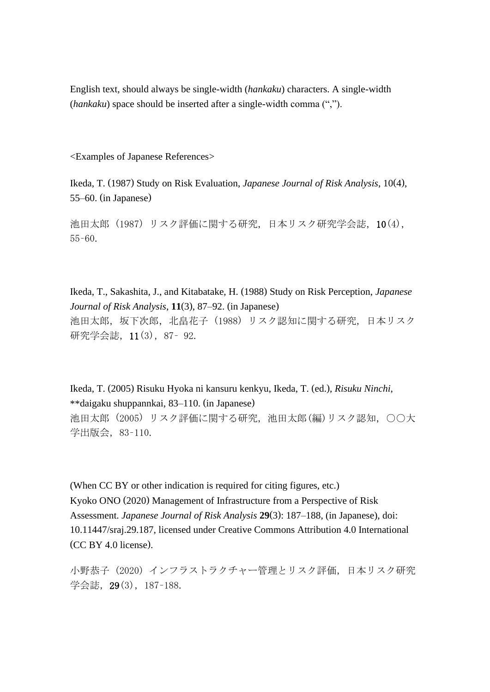English text, should always be single-width (*hankaku*) characters. A single-width (*hankaku*) space should be inserted after a single-width comma (",").

<Examples of Japanese References>

Ikeda, T. (1987) Study on Risk Evaluation, *Japanese Journal of Risk Analysis*, 10(4), 55–60. (in Japanese)

池田太郎 (1987) リスク評価に関する研究,日本リスク研究学会誌,10(4), 55–60.

Ikeda, T., Sakashita, J., and Kitabatake, H. (1988) Study on Risk Perception, *Japanese Journal of Risk Analysis*, **11**(3), 87–92. (in Japanese) 池田太郎,坂下次郎,北畠花子 (1988) リスク認知に関する研究,日本リスク 研究学会誌,11(3),87– 92.

Ikeda, T. (2005) Risuku Hyoka ni kansuru kenkyu, Ikeda, T. (ed.), *Risuku Ninchi*, \*\*daigaku shuppannkai, 83–110. (in Japanese) 池田太郎 (2005) リスク評価に関する研究,池田太郎(編)リスク認知,○○大 学出版会,83–110.

(When CC BY or other indication is required for citing figures, etc.) Kyoko ONO (2020) Management of Infrastructure from a Perspective of Risk Assessment. *Japanese Journal of Risk Analysis* **29**(3): 187–188, (in Japanese), doi: 10.11447/sraj.29.187, licensed under Creative Commons Attribution 4.0 International (CC BY 4.0 license).

小野恭子 (2020) インフラストラクチャー管理とリスク評価,日本リスク研究 学会誌,29(3),187–188.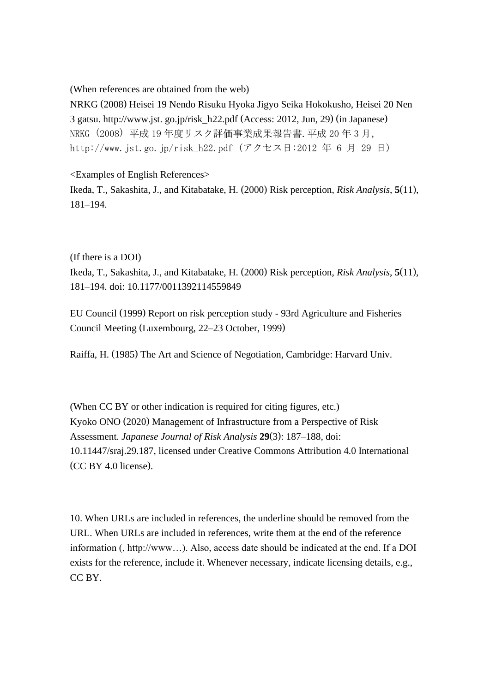(When references are obtained from the web)

NRKG (2008) Heisei 19 Nendo Risuku Hyoka Jigyo Seika Hokokusho, Heisei 20 Nen 3 gatsu. http://www.jst. go.jp/risk\_h22.pdf (Access: 2012, Jun, 29) (in Japanese) NRKG (2008) 平成 19 年度リスク評価事業成果報告書.平成 20 年 3 月, http://www.jst.go.jp/risk h22.pdf (アクセス日:2012 年 6 月 29 日)

<Examples of English References>

Ikeda, T., Sakashita, J., and Kitabatake, H. (2000) Risk perception, *Risk Analysis*, **5**(11), 181–194.

(If there is a DOI)

Ikeda, T., Sakashita, J., and Kitabatake, H. (2000) Risk perception, *Risk Analysis*, **5**(11), 181–194. doi: 10.1177/0011392114559849

EU Council (1999) Report on risk perception study - 93rd Agriculture and Fisheries Council Meeting (Luxembourg, 22–23 October, 1999)

Raiffa, H. (1985) The Art and Science of Negotiation, Cambridge: Harvard Univ.

(When CC BY or other indication is required for citing figures, etc.) Kyoko ONO (2020) Management of Infrastructure from a Perspective of Risk Assessment. *Japanese Journal of Risk Analysis* **29**(3): 187–188, doi: 10.11447/sraj.29.187, licensed under Creative Commons Attribution 4.0 International (CC BY 4.0 license).

10. When URLs are included in references, the underline should be removed from the URL. When URLs are included in references, write them at the end of the reference information (, http://www…). Also, access date should be indicated at the end. If a DOI exists for the reference, include it. Whenever necessary, indicate licensing details, e.g., CC BY.